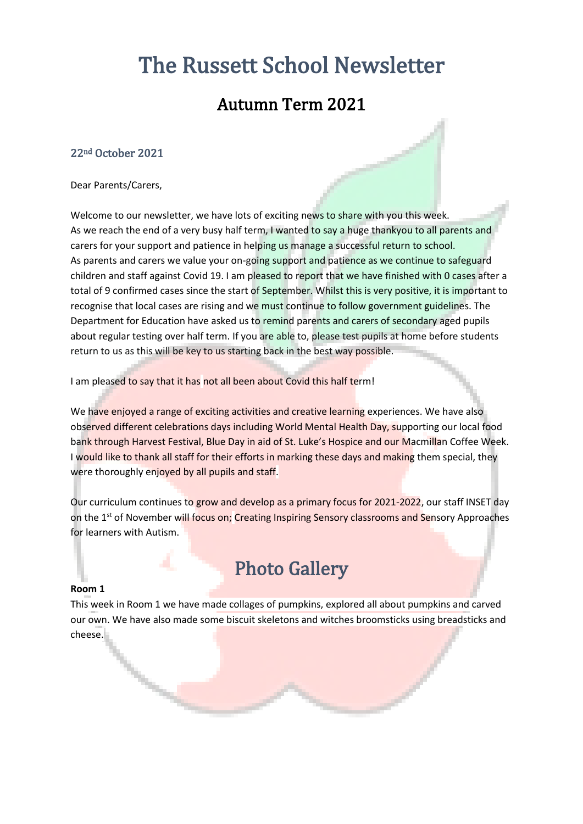# The Russett School Newsletter

### Autumn Term 2021

#### 22nd October 2021

Dear Parents/Carers,

Welcome to our newsletter, we have lots of exciting news to share with you this week. As we reach the end of a very busy half term, I wanted to say a huge thankyou to all parents and carers for your support and patience in helping us manage a successful return to school. As parents and carers we value your on-going support and patience as we continue to safeguard children and staff against Covid 19. I am pleased to report that we have finished with 0 cases after a total of 9 confirmed cases since the start of September. Whilst this is very positive, it is important to recognise that local cases are rising and we must continue to follow government guidelines. The Department for Education have asked us to remind parents and carers of secondary aged pupils about regular testing over half term. If you are able to, please test pupils at home before students return to us as this will be key to us starting back in the best way possible.

I am pleased to say that it has not all been about Covid this half term!

We have enjoyed a range of exciting activities and creative learning experiences. We have also observed different celebrations days including World Mental Health Day, supporting our local food bank through Harvest Festival, Blue Day in aid of St. Luke's Hospice and our Macmillan Coffee Week. I would like to thank all staff for their efforts in marking these days and making them special, they were thoroughly enjoyed by all pupils and staff.

Our curriculum continues to grow and develop as a primary focus for 2021-2022, our staff INSET day on the 1st of November will focus on; Creating Inspiring Sensory classrooms and Sensory Approaches for learners with Autism.

## Photo Gallery

#### **Room 1**

ー

This week in Room 1 we have made collages of pumpkins, explored all about pumpkins and carved our own. We have also made some biscuit skeletons and witches broomsticks using breadsticks and cheese.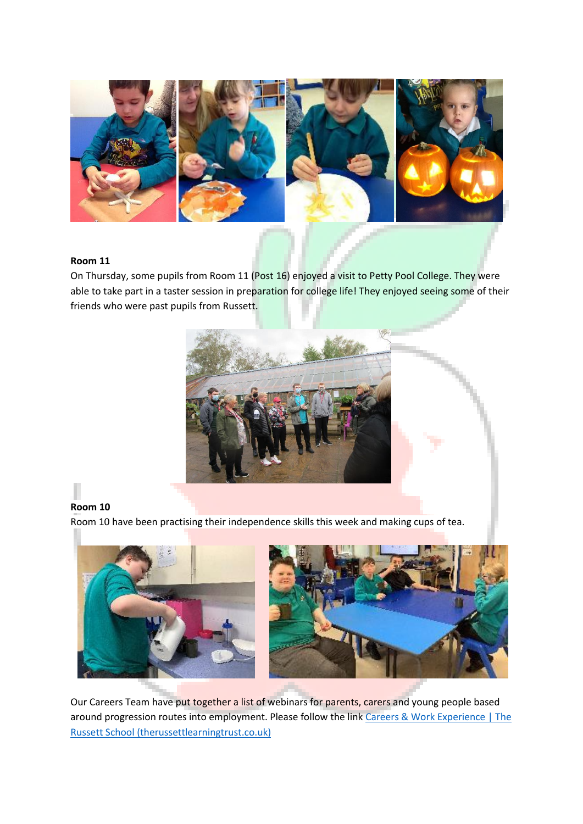

#### **Room 11**

On Thursday, some pupils from Room 11 (Post 16) enjoyed a visit to Petty Pool College. They were able to take part in a taster session in preparation for college life! They enjoyed seeing some of their friends who were past pupils from Russett.



### **Room 10**

Room 10 have been practising their independence skills this week and making cups of tea.



Our Careers Team have put together a list of webinars for parents, carers and young people based around progression routes into employment. Please follow the link Careers & Work Experience | The [Russett School \(therussettlearningtrust.co.uk\)](https://www.therussettlearningtrust.co.uk/russett-school/careers-work-experience/)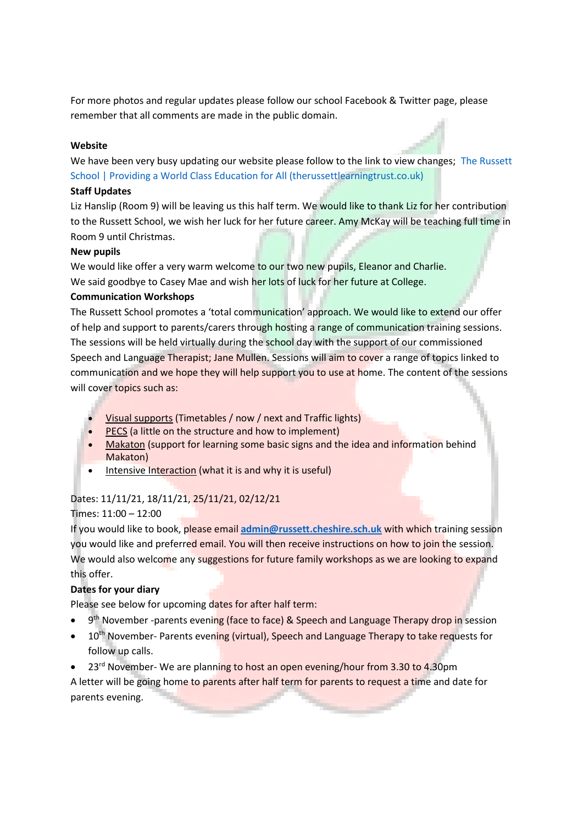For more photos and regular updates please follow our school Facebook & Twitter page, please remember that all comments are made in the public domain.

#### **Website**

We have been very busy updating our website please follow to the link to view changes; The Russett [School | Providing a World Class Education for All \(therussettlearningtrust.co.uk\)](https://www.therussettlearningtrust.co.uk/russett-school/)

#### **Staff Updates**

Liz Hanslip (Room 9) will be leaving us this half term. We would like to thank Liz for her contribution to the Russett School, we wish her luck for her future career. Amy McKay will be teaching full time in Room 9 until Christmas.

#### **New pupils**

We would like offer a very warm welcome to our two new pupils, Eleanor and Charlie.

We said goodbye to Casey Mae and wish her lots of luck for her future at College.

#### **Communication Workshops**

The Russett School promotes a 'total communication' approach. We would like to extend our offer of help and support to parents/carers through hosting a range of communication training sessions. The sessions will be held virtually during the school day with the support of our commissioned Speech and Language Therapist; Jane Mullen. Sessions will aim to cover a range of topics linked to communication and we hope they will help support you to use at home. The content of the sessions will cover topics such as:

- Visual supports (Timetables / now / next and Traffic lights)
- PECS (a little on the structure and how to implement)
- Makaton (support for learning some basic signs and the idea and information behind Makaton)
- Intensive Interaction (what it is and why it is useful)

#### Dates: 11/11/21, 18/11/21, 25/11/21, 02/12/21

#### Times: 11:00 – 12:00

If you would like to book, please email **[admin@russett.cheshire.sch.uk](mailto:admin@russett.cheshire.sch.uk)** with which training session you would like and preferred email. You will then receive instructions on how to join the session. We would also welcome any suggestions for future family workshops as we are looking to expand this offer.

#### **Dates for your diary**

Please see below for upcoming dates for after half term:

- 9<sup>th</sup> November -parents evening (face to face) & Speech and Language Therapy drop in session
- 10<sup>th</sup> November- Parents evening (virtual), Speech and Language Therapy to take requests for follow up calls.
- $23<sup>rd</sup>$  November- We are planning to host an open evening/hour from 3.30 to 4.30pm

A letter will be going home to parents after half term for parents to request a time and date for parents evening.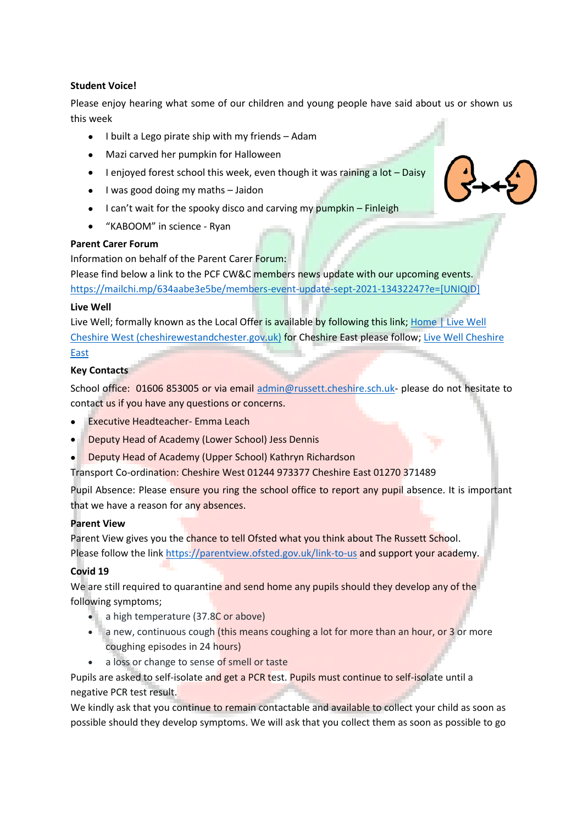#### **Student Voice!**

Please enjoy hearing what some of our children and young people have said about us or shown us this week

- I built a Lego pirate ship with my friends Adam
- Mazi carved her pumpkin for Halloween
- I enjoyed forest school this week, even though it was raining a lot Daisy
- I was good doing my maths Jaidon
- I can't wait for the spooky disco and carving my pumpkin Finleigh
- "KABOOM" in science Ryan

#### **Parent Carer Forum**

Information on behalf of the Parent Carer Forum:

Please find below a link to the PCF CW&C members news update with our upcoming events. [https://mailchi.mp/634aabe3e5be/members-event-update-sept-2021-13432247?e=\[UNIQID\]](https://mailchi.mp/634aabe3e5be/members-event-update-sept-2021-13432247?e=%5bUNIQID%5d)

#### **Live Well**

Live Well; formally known as the Local Offer is available by following this link; [Home | Live Well](https://www.livewell.cheshirewestandchester.gov.uk/)  [Cheshire West \(cheshirewestandchester.gov.uk\)](https://www.livewell.cheshirewestandchester.gov.uk/) for Cheshire East please follow[; Live Well Cheshire](https://www.cheshireeast.gov.uk/livewell/livewell.aspx)  [East](https://www.cheshireeast.gov.uk/livewell/livewell.aspx)

#### **Key Contacts**

School office: 01606 853005 or via email [admin@russett.cheshire.sch.uk-](mailto:admin@russett.cheshire.sch.uk) please do not hesitate to contact us if you have any questions or concerns.

- Executive Headteacher- Emma Leach
- Deputy Head of Academy (Lower School) Jess Dennis
- Deputy Head of Academy (Upper School) Kathryn Richardson

Transport Co-ordination: Cheshire West 01244 973377 Cheshire East 01270 371489

Pupil Absence: Please ensure you ring the school office to report any pupil absence. It is important that we have a reason for any absences.

#### **Parent View**

Parent View gives you the chance to tell Ofsted what you think about The Russett School. Please follow the link<https://parentview.ofsted.gov.uk/link-to-us> and support your academy.

#### **Covid 19**

We are still required to quarantine and send home any pupils should they develop any of the following symptoms;

- a high temperature (37.8C or above)
- a new, continuous cough (this means coughing a lot for more than an hour, or 3 or more coughing episodes in 24 hours)
- a loss or change to sense of smell or taste

Pupils are asked to self-isolate and get a PCR test. Pupils must continue to self-isolate until a negative PCR test result.

We kindly ask that you continue to remain contactable and available to collect your child as soon as possible should they develop symptoms. We will ask that you collect them as soon as possible to go